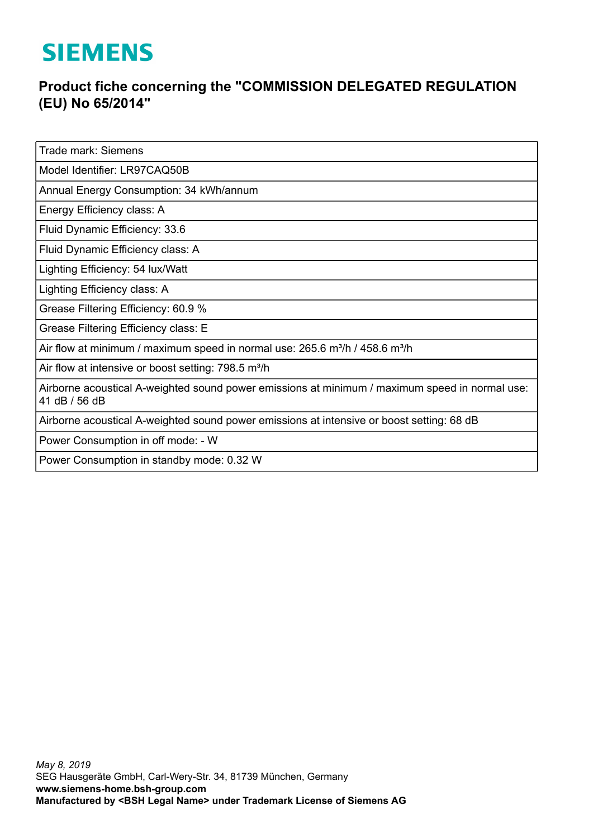## **SIEMENS**

## **Product fiche concerning the "COMMISSION DELEGATED REGULATION (EU) No 65/2014"**

Trade mark: Siemens

Model Identifier: LR97CAQ50B

Annual Energy Consumption: 34 kWh/annum

Energy Efficiency class: A

Fluid Dynamic Efficiency: 33.6

Fluid Dynamic Efficiency class: A

Lighting Efficiency: 54 lux/Watt

Lighting Efficiency class: A

Grease Filtering Efficiency: 60.9 %

Grease Filtering Efficiency class: E

Air flow at minimum / maximum speed in normal use:  $265.6$  m<sup>3</sup>/h / 458.6 m<sup>3</sup>/h

Air flow at intensive or boost setting: 798.5 m<sup>3</sup>/h

Airborne acoustical A-weighted sound power emissions at minimum / maximum speed in normal use: 41 dB / 56 dB

Airborne acoustical A-weighted sound power emissions at intensive or boost setting: 68 dB

Power Consumption in off mode: - W

Power Consumption in standby mode: 0.32 W